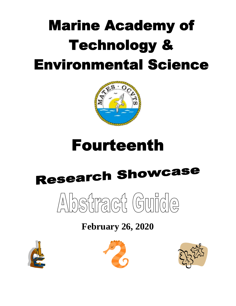## **Marine Academy of Technology & Environmental Science**



### **Fourteenth**

# **Research Showcase**



### **February 26, 2020**





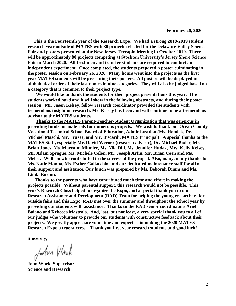**This is the Fourteenth year of the Research Expo! We had a strong 2018-2019 student research year outside of MATES with 30 projects selected for the Delaware Valley Science Fair and posters presented at the New Jersey Terrapin Meeting in October 2019. There will be approximately 80 projects competing at Stockton University's Jersey Shore Science Fair in March 2020. All freshmen and transfer students are required to conduct an independent experiment. Once completed, the students prepared a poster culminating in the poster session on February 26, 2020. Many hours went into the projects as the first year MATES students will be presenting their posters. All posters will be displayed in alphabetical order of their last names in nine categories. They will also be judged based on a category that is common to their project type.** 

 **We would like to thank the students for their project presentations this year. The students worked hard and it will show in the following abstracts, and during their poster session. Mr. Jason Kelsey, fellow research coordinator provided the students with tremendous insight on research. Mr. Kelsey has been and will continue to be a tremendous advisor to the MATES students.** 

 **Thanks to the MATES Parent-Teacher-Student Organization that was generous in providing funds for materials for numerous projects. We wish to thank our Ocean County Vocational Technical School Board of Education, Administration (Ms. Homiek, Dr. Michael Maschi, Mr. Frazee, and Mr. Biscardi, MATES Principal). A special thanks to the MATES Staff, especially Mr. David Werner (research advisor), Dr. Michael Bixler, Mr. Brian Jones, Ms. Maryann Minnier, Ms. Mia Dill, Ms. Jennifer Hudak, Mrs. Kelly Kelsey, Mr. Adam Sprague, Ms. Michele Colon, Mr. Joseph Arfin, Mr. Brian Coen and Ms. Melissa Wolleon who contributed to the success of the project. Also, many, many thanks to Ms. Katie Manna, Ms. Esther Gallacchio, and our dedicated maintenance staff for all of their support and assistance. Our lunch was prepared by Ms. Deborah Dimm and Ms. Linda Burton.**

 **Thanks to the parents who have contributed much time and effort in making the projects possible. Without parental support, this research would not be possible. This year's Research Class helped to organize the Expo, and a special thank you to our Research Assistance and Development (RAD) Team for helping the young researchers for outside fairs and this Expo. RAD met over the summer and throughout the school year by providing our students with assistance! Thanks to the RAD senior coordinators Ariel Baiano and Rebecca Mastrola. And, last, but not least, a very special thank you to all of our judges who volunteer to provide our students with constructive feedback about their projects. We greatly appreciate your time and expertise in making the 2020 MATES Research Expo a true success. Thank you first year research students and good luck!** 

**Sincerely,**

John Wrock

**John Wnek, Supervisor, Science and Research**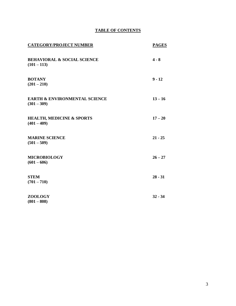#### **TABLE OF CONTENTS**

| <b>CATEGORY/PROJECT NUMBER</b>                            | <b>PAGES</b> |
|-----------------------------------------------------------|--------------|
| <b>BEHAVIORAL &amp; SOCIAL SCIENCE</b><br>$(101 - 113)$   | $4 - 8$      |
| <b>BOTANY</b><br>$(201 - 210)$                            | $9 - 12$     |
| <b>EARTH &amp; ENVIRONMENTAL SCIENCE</b><br>$(301 - 309)$ | $13 - 16$    |
| <b>HEALTH, MEDICINE &amp; SPORTS</b><br>$(401 - 409)$     | $17 - 20$    |
| <b>MARINE SCIENCE</b><br>$(501 - 509)$                    | $21 - 25$    |
| <b>MICROBIOLOGY</b><br>$(601 - 606)$                      | $26 - 27$    |
| <b>STEM</b><br>$(701 - 710)$                              | $28 - 31$    |
| <b>ZOOLOGY</b><br>$(801 - 808)$                           | $32 - 34$    |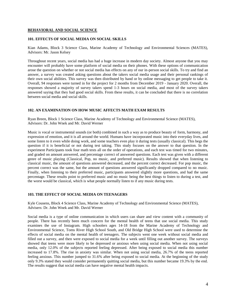#### **101. EFFECTS OF SOCIAL MEDIA ON SOCIAL SKILLS**

Kian Adams, Block 3 Science Class, Marine Academy of Technology and Environmental Sciences (MATES), Advisors: Mr. Jason Kelsey

Throughout recent years, social media has had a huge increase in modern day society. Almost anyone that you may encounter will probably have some platform of social media on their phones. With these options of communication arose the question on whether or not social media has effects on any of our in-person social skills. To try and find an answer, a survey was created asking questions about the takers social media usage and their personal rankings of their own social abilities. This survey was then distributed by hand or by online messaging to get people to take it. Overall, 94 responses were turned in for the project for 2 months from December 2019 - January 2020. Overall, the responses showed a majority of survey takers spend 1-3 hours on social media, and most of the survey takers answered saying that they had good social skills. From these results, it can be concluded that there is no correlation between social media and social skills.

#### **102. AN EXAMINATION ON HOW MUSIC AFFECTS MATH EXAM RESULTS**

Ryan Breen, Block 1 Science Class, Marine Academy of Technology and Environmental Science (MATES), Advisors: Dr. John Wnek and Mr. David Werner

Music is vocal or instrumental sounds (or both) combined in such a way as to produce beauty of form, harmony, and expression of emotion, and it is all around the world. Humans have incorporated music into their everyday lives, and some listen to it even while doing work, and some teachers even play it during tests (usually classical). This begs the question if it is beneficial or not during test taking. This study focuses on the answer to that question. In the experiment Participants took four math tests all on the order of operations, and each test was timed for two minutes, and graded on amount answered, and percentage correct of answered questions. Each test was given with a different genre of music playing (Classical, Pop, no music, and preferred music). Results showed that when listening to classical music, the amount of questions answered decreased, and the percent correct decreased. For pop music, the percent correct was the same, but the amount of questions answered significantly dropped compared to no music. Finally, when listening to their preferred music, participants answered slightly more questions, and had the same percentage. These results point to preferred music and no music being the best things to listen to during a test, and the worst would be classical, which is what people normally listen to if any music during tests.

#### **103. THE EFFECT OF SOCIAL MEDIA ON TEENAGERS**

Kyle Cousens, Block 4 Science Class, Marine Academy of Technology and Environmental Science (MATES), Advisers: Dr. John Wnek and Mr. David Werner

Social media is a type of online communication in which users can share and view content with a community of people. There has recently been much concern for the mental health of teens that use social media. This study examines the use of Instagram. High schoolers ages 14-18 from the Marine Academy of Technology and Environmental Science, Toms River High School South, and Old Bridge High School were used to determine the effects of social media on the mental health of teenagers. The subjects went one week without social media and filled out a survey, and then were exposed to social media for a week until filling out another survey. The surveys showed that teens were more likely to be depressed or anxious when using social media. When not using social media, only 12.0% of the subjects reported feeling depressed. After being exposed to social media this number increased to 17.8%. The rise in anxiety was similar. When not using social media, 26.7% of the teens reported feeling anxious. This number jumped to 31.6% after being exposed to social media. At the beginning of the study only 9.3% stated they would consider permanently quitting social media, but this number became 19.3% by the end. The results suggest that social media can have negative mental health impacts.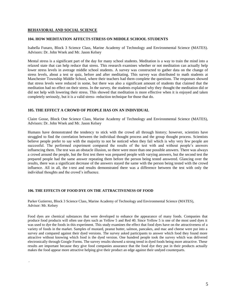#### **104. HOW MEDITATION AFFECTS STRESS ON MIDDLE SCHOOL STUDENTS**

Isabella Funaro, Block 3 Science Class, Marine Academy of Technology and Environmental Science (MATES). Advisors: Dr. John Wnek and Mr. Jason Kelsey

Mental stress is a significant part of the day for many school students. Meditation is a way to train the mind into a relaxed state that can help reduce that stress. This research examines whether or not meditation can actually help lower stress levels in average middle school students. A survey was constructed to gather data on the change of stress levels, about a test or quiz, before and after meditating. This survey was distributed to math students at Manchester Township Middle School, where their teachers had them complete the questions. The responses showed that stress levels were reduced in some, but there was also a significant amount of students that claimed that the meditation had no effect on their stress. In the survey, the students explained why they thought the meditation did or did not help with lowering their stress. This showed that meditation is more effective when it is enjoyed and taken completely seriously, but it is a valid stress- reduction technique for those that do.

#### **105. THE EFFECT A CROWD OF PEOPLE HAS ON AN INDIVIDUAL**

Claire Gosse, Block One Science Class, Marine Academy of Technology and Environmental Science (MATES), Advisors: Dr. John Wnek and Mr. Jason Kelsey

Humans have demonstrated the tendency to stick with the crowd all through history; however, scientists have struggled to find the correlation between the individual thought process and the group thought process. Scientists believe people prefer to say with the majority to not be noticed when they fail which is why very few people are successful. The performed experiment compared the results of the test with and without people's answers influencing them. The test was an obstacle illusion, so there were more than one possible answers. There was always a crowd around the people, but the first test there was prepared people with varying answers, but the second test the prepared people had the same answer repeating them before the person being tested answered. Glancing over the results, there was a significant decrease of the answers stayed the same with the person being tested with the crowd influence. All in all, the t-test and results demonstrated there was a difference between the test with only the individual thoughts and the crowd's influence.

#### **106. THE EFFECTS OF FOOD DYE ON THE ATTRACTIVENESS OF FOOD**

.

Parker Gutierrez, Block 3 Science Class, Marine Academy of Technology and Environmental Science (MATES), Advisor: Mr. Kelsey

Food dyes are chemical substances that were developed to enhance the appearance of many foods. Companies that produce food products will often use dyes such as Yellow 5 and Red 40. Since Yellow 5 is one of the most used dyes it was used to dye the foods in this experiment. This study examines the effect that food dyes have on the attractiveness of a variety of foods in the market. Samples of mustard, peanut butter, salmon, pancakes, and mac and cheese were put into a survey and compared against their dyed versions. The survey asked participants to answer which food they found more attractive without knowing which food is the dyed version. One hundred people took the survey which was delivered electronically through Google Forms. The survey results showed a strong trend in dyed foods being more attractive. These results are important because they give food companies assurance that the food dye they put in their products actually makes the food appear more attractive helping give their product an edge against their undyed counterparts.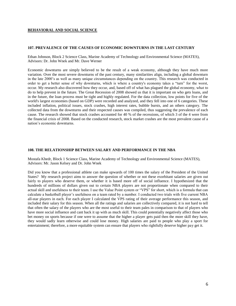#### **107. PREVALENCE OF THE CAUSES OF ECONOMIC DOWNTURNS IN THE LAST CENTURY**

Ethan Johnson, Block 2 Science Class, Marine Academy of Technology and Environmental Science (MATES), Advisors: Dr. John Wnek and Mr. Dave Werner

Economic downturns are simply believed to be the result of a weak economy, although they have much more variation. Over the most severe downturns of the past century, many similarities align, including a global downturn in the late 2000's as well as many unique circumstances depending on the country. This research was conducted in order to get a better sense of why downturns, which is where a country's economy takes a "turn" for the worst, occur. My research also discovered how they occur, and, based off of what has plagued the global economy, what to do to help prevent in the future. The Great Recession of 2008 showed us that it is important on who gets loans, and in the future, the loan process must be tight and highly regulated. For the data collection, low points for five of the world's largest economies (based on GDP) were recorded and analyzed, and they fell into one of 6 categories. These included inflation, political issues, stock crashes, high interest rates, bubble bursts, and an others category. The collected data from the downturns and their respected causes was compiled, thus suggesting the prevalence of each cause. The research showed that stock crashes accounted for 40 % of the recessions, of which 3 of the 4 were from the financial crisis of 2008. Based on the conducted research, stock market crashes are the most prevalent cause of a nation's economic downturns.

#### **108. THE RELATIONSHIP BETWEEN SALARY AND PERFORMANCE IN THE NBA**

Mostafa Khedr, Block 1 Science Class, Marine Academy of Technology and Environmental Science (MATES), Advisors: Mr. Jason Kelsey and Dr. John Wnek

Did you know that a professional athlete can make upwards of 100 times the salary of the President of the United States? My research project aims to answer the question of whether or not these exorbitant salaries are given out fairly to players who deserve them, or whether it is based more off of social influence. I hypothesized that the hundreds of millions of dollars given out to certain NBA players are not proportionate when compared to their actual skill and usefulness to their team. I use the Value Point system or "VPS" for short, which is a formula that can calculate a basketball player's usefulness on a team rated by a number. I conducted two trials with five current NBA all-star players in each. For each player I calculated the VPS rating of their average performance this season, and included their salary for this season. When all the ratings and salaries are collectively compared, it is not hard to tell that often the salary of the players who are the most useful to their team pales in comparison to that of players who have more social influence and cant back it up with as much skill. This could potentially negatively affect those who bet money on sports because if one were to assume that the higher a player gets paid then the more skill they have, they would sadly learn otherwise and could lose money. High salaries are paid to people who play a sport for entertainment; therefore, a more equitable system can ensure that players who rightfully deserve higher pay get it.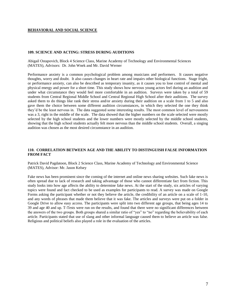#### **109. SCIENCE AND ACTING: STRESS DURING AUDITIONS**

Abigail Ostapovich, Block 4 Science Class, Marine Academy of Technology and Environmental Sciences (MATES), Advisors: Dr. John Wnek and Mr. David Werner

Performance anxiety is a common psychological problem among musicians and performers. It causes negative thoughts, worry and doubt. It also causes changes in heart rate and impairs other biological functions. Stage fright, or performance anxiety, can also be described as temporary insanity, as it causes you to lose control of mental and physical energy and power for a short time. This study shows how nervous young actors feel during an audition and under what circumstance they would feel more comfortable in an audition. Surveys were taken by a total of 59 students from Central Regional Middle School and Central Regional High School after their auditions. The survey asked them to do things like rank their stress and/or anxiety during their audition on a scale from 1 to 5 and also gave them the choice between some different audition circumstances, in which they selected the one they think they'd be the least nervous in. The data suggested some interesting results. The most common level of nervousness was a 3, right in the middle of the scale. The data showed that the higher numbers on the scale selected were mostly selected by the high school students and the lower numbers were mostly selected by the middle school students, showing that the high school students actually felt more nervous than the middle school students. Overall, a singing audition was chosen as the most desired circumstance in an audition.

#### **110. CORRELATION BETWEEN AGE AND THE ABILITY TO DISTINGUISH FALSE INFORMATION FROM FACT**

Patrick David Pagdatoon, Block 2 Science Class, Marine Academy of Technology and Environmental Science (MATES), Advisor: Mr. Jason Kelsey

Fake news has been prominent since the coming of the internet and online news sharing websites. Such fake news is often spread due to lack of research and taking advantage of those who cannot differentiate fact from fiction. This study looks into how age affects the ability to determine fake news. At the start of the study, six articles of varying topics were found and fact checked to be used as examples for participants to read. A survey was made on Google Forms asking the participant whether or not they believe the article, the credibility of an article on a scale of 1-10, and any words of phrases that made them believe that it was fake. The articles and surveys were put on a folder in Google Drive to allow easy access. The participants were split into two different age groups, that being ages 14 to 39 and age 40 and up. T-Tests were run on the results, and found that there were no significant differences between the answers of the two groups. Both groups shared a similar ratio of "yes" to "no" regarding the believability of each article. Participants stated that use of slang and other informal language caused them to believe an article was false. Religious and political beliefs also played a role in the evaluation of the articles.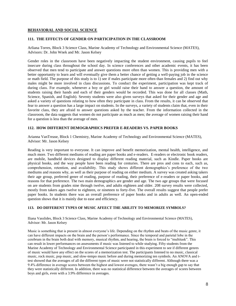#### **111. THE EFFECTS OF GENDER ON PARTICIPATION IN THE CLASSROOM**

Arliana Torres, Block 3 Science Class, Marine Academy of Technology and Environmental Science (MATES), Advisors: Dr. John Wnek and Mr. Jason Kelsey

Gender roles in the classroom have been negatively impacting the student environment, causing pupils to feel insecure during class throughout the school day. In science conferences and other academic events, it has been observed that men tend to participate and answer questions more often than women. This is providing men with a better opportunity to learn and will eventually give them a better chance of getting a well-paying job in the science or math field. The purpose of this study is to 1) see if males participate more often than females and 2) find out why males might be more involved in class discussions. To conduct the experiment, participation was kept track of during class. For example, whenever a boy or girl would raise their hand to answer a question, the amount of students raising their hands and each of their genders would be recorded. This was done for all classes (Math, Science, Spanish, and English). Seventy students were also given surveys that asked for their gender and age and asked a variety of questions relating to how often they participate in class. From the results, it can be observed that fear to answer a question has a large impact on students. In the surveys, a variety of students claim that, even in their favorite class, they are afraid to answer questions asked by the teacher. From the information collected in the classroom, the data suggests that women do not participate as much as men; the average of women raising their hand for a question is less than the average of men.

#### **112. HOW DIFFERENT DEMOGRAPHICS PREFER E-READERS VS. PAPER BOOKS**

Arianna VanTrease, Block 1 Chemistry, Marine Academy of Technology and Environmental Science (MATES), Advisor: Mr. Jason Kelsey

Reading is very important to everyone. It can improve and benefit memorization, mental health, intelligence, and much more. Two different mediums of reading are paper books and e-readers. E-readers or electronic book readers, are mobile, handheld devices designed to display different reading material, such as Kindle. Paper books are physical books, and the way people have been reading for centuries. There are pros and cons to each, such as, comprehension, retention, and availability. This study shows different demographics's preference of the two mediums and reasons why, as well as their purpose of reading on either medium. A survey was created asking takers their age group, preferred genre of reading, purpose of reading, their preference of e-readers or paper books, and reasons for that preference. The two main demographics are gender and age. The two age groups that were focused on are students from grades nine through twelve, and adults eighteen and older. 208 survey results were collected, mostly from takers ages twelve to eighteen, or nineteen to forty-five. The overall results suggest that people prefer paper books. In students there was an overall preference of paper books and in adults as well. An open-ended question shows that it is mainly due to ease and efficiency.

#### **113. DO DIFFERENT TYPES OF MUSIC AFEECT THE ABILITY TO MEMORIZE SYMBOLS?**

Iliana Vasslides, Block 3 Science Class, Marine Academy of Technology and Environmental Science (MATES), Advisor: Mr. Jason Kelsey

Music is something that is present in almost everyone's life. Depending on the rhythm and beats of the music genre, it can have different impacts on the brain and the person's performance. Since the temporal and parietal lobe in the cerebrum in the brain both deal with memory, musical rhythm, and hearing, the brain is forced to "multitask". This can result in lower performances on assessments if music was listened to while studying. Fifty students from the Marine Academy of Technology and Environmental Science participated in this experiment to see if different genres of music would have any effect on the scores of a memorization test. The participants listened to no music, classical music, rock music, pop music, and slow-tempo music before and during memorizing ten symbols. An ANOVA and ttest showed that the averages of all the different types of music were not statistically different. Although there was a 9.4% difference in average scores between the highest and lowest averages, there wasn't a big enough gap to say that they were statistically different. In addition, there was no statistical difference between the averages of scores between boys and girls, even with a 3.9% difference in averages.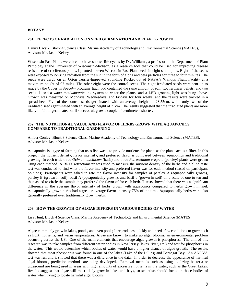#### **201. EFFECTS OF RADIATION ON SEED GERMINATION AND PLANT GROWTH**

Danny Bacsik, Block 4 Science Class, Marine Academy of Technology and Environmental Science (MATES), Advisor: Mr. Jason Kelsey

Wisconsin Fast Plants were bred to have shorter life cycles by Dr. Williams, a professor in the Department of Plant Pathology at the University of Wisconsin-Madison, as a research tool that could be used for improving disease resistance of cruciferous plants. I planted sixteen Wisconsin Fast Plant seeds in eight small pods. Eight of the seeds were exposed to ionizing radiation from the sun in the form of alpha and beta particles for three to four minutes. The seeds were cargo on an Orion Terrier-Improved Sounding Rocket out of NASA's Wallops Flight Facility at a maximum height of 97 miles. The other eight were the control seeds. The eight irradiated seeds were sent up to space by the Cubes in Space™ program. Each pod contained the same amount of soil, two fertilizer pellets, and two seeds. I used a water mat/waterwicking system to water the plants, and a LED growing light was hung above. Growth was measured on Mondays, Wednesdays, and Fridays for four weeks, and the results were tracked in a spreadsheet. Five of the control seeds germinated, with an average height of 23.55cm, while only two of the irradiated seeds germinated with an average height of 21cm. The results suggested that the irradiated plants are more likely to fail to germinate, but if successful, grow a couple of centimeters shorter.

#### **202. THE NUTRITIONAL VALUE AND FLAVOR OF HERBS GROWN WITH AQUAPONICS COMPARED TO TRADITIONAL GARDENING**

Amber Conley, Block 3 Science Class, Marine Academy of Technology and Environmental Science (MATES), Advisor: Mr. Jason Kelsey

Aquaponics is a type of farming that uses fish waste to provide nutrients for plants as the plants act as a filter. In this project, the nutrient density, flavor intensity, and preferred flavor is compared between aquaponics and traditional growing. In each trial, three *Ocimum bacilicum* (basil) and three *Petroselinum crispum* (parsley) plants were grown using each method. A BRIX refractometer was used to measure the nutrient density of the herbs and a blind taste test was conducted to find what the flavor intensity and preferred flavor was for each method (based on participant opinions). Participants were asked to rate the flavor intensity for samples of parsley A (aquaponically grown), parsley B (grown in soil), basil A (aquaponically grown), and basil b (grown in soil) on a scale of one to ten and then asked to circle the sample they preferred the flavor of for each herb. T-tests showed that there was a significant difference in the average flavor intensity of herbs grown with aquaponics compared to herbs grown in soil. Aquaponically grown herbs had a greater average flavor intensity 75% of the time. Aquaponically herbs were also generally preferred over traditionally grown herbs.

#### **203. HOW THE GROWTH OF ALGAE DIFFERS IN VARIOUS BODIES OF WATER**

Lisa Hunt, Block 4 Science Class, Marine Academy of Technology and Environmental Science (MATES), Advisor: Mr. Jason Kelsey

Algae commonly grow in lakes, ponds, and even pools; It reproduces quickly and needs few conditions to grow such as light, nutrients, and warm temperatures. Algae are known to make up algal blooms, an environmental problem occurring across the US. One of the main elements that encourage algae growth is phosphorus. The aim of this research was to take samples from different water bodies in New Jersey (lakes, river, etc.) and test for phosphorus in the water. This would determine which bodies of water would have a higher chance of algae growth. The results showed that most phosphorus was found in one of the lakes (Lake of the Lillies) and Barnegat Bay. An ANOVA test was run and it showed that there was a difference in the data. In order to decrease the appearance of harmful algal blooms, prediction methods are being developed. Removal methods such as using oxidizing bacteria or ultrasound are being used in areas with high amounts of excessive nutrients in the water, such as the Great Lakes. Results suggest that algae will most likely grow in lakes and bays, so scientists should focus on those bodies of water when trying to locate harmful algal blooms.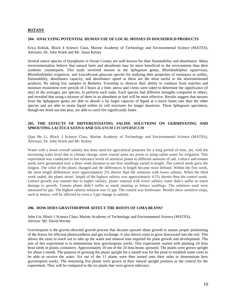#### **204. ANALYZING POTENTIAL HUMAN USE OF LOCAL MOSSES IN HOUSEHOLD PRODUCTS**

Erica Keklak, Block 4 Science Class, Marine Academy of Technology and Environmental Science (MATES), Advisors: Dr. John Wnek and Mr. Jason Kelsey

Several native species of bryophytes in Ocean County are well-known for their flammability and absorbance. Many environmentalists believe that natural fuels and absorbents may be more beneficial to the environment than their synthetic counterparts. This study involved mosses in the *Sphagnum* genus, *Rhytidiadelphus squarrosus*, *Rhytidiadelphus triquetrus*, and *Leucobryum glaucum* species for studying their properties of resistance to aridity, flammability, absorbance capacity, and absorbance speed as these are the most useful in the aforementioned products. By taking live samples in Berkeley Township to observe their ability to combust from matches and moisture retainment over periods of 2 hours at a time, anova and t-tests were taken to determine the significance (if any) of the averages, per species, to perform such tasks. Each species had different strengths compared to others, and revealed that using a mixture of them in an absorbent or fuel will be most effective. Results suggest that mosses from the *Sphagnum* genus are able to absorb a far larger capacity of liquid at a much faster rate than the other species and are able to retain liquid within its cell structures for longer durations. These *Sphagnum* specimens, though not dried out into peat, are able to catch fire significantly faster.

#### **205. THE EFFECTS OF DIFFERENTIATING SALINE SOLUTIONS ON GERMINATING AND SPROUTING** *LACTUCA SATIVA* **AND** *SOLANUM LYCOPERSICUM*

Qian He Li, Block 3 Science Class, Marine Academy of Technology and Environmental Science (MATES), Advisors: Dr. John Wnek and Mr. Kelsey

Water with a lower overall salinity has been used for agricultural purposes for a long period of time, yet, with the increasing water level due to climate change, more coastal areas are prone to using saline water for irrigation. This experiment was conducted to test tolerance levels of sensitive plants to different amounts of salt. Lettuce and tomato seeds were germinated over a three week duration to see how seedlings varied in length. The control seeds grew the longest. The color of the plants changed and the differences in length became more defined. Within the first week, the stem length differences were approximately 2% shorter than the solutions with lower salinity. When the third week ended, the plants stems' length of the highest salinity was approximately 4.1% shorter than the control seeds. Lettuce growth was stunted due to higher salinity, plants watered with lower salinity water didn't suffer as much damage to growth. Tomato plants didn't suffer as much stunting as lettuce seedlings. The solutions used were measured by ppt. The highest salinity solution was 12 ppt. The control was freshwater. Results show sensitive crops, such as lettuce, will be affected by even a 3 ppt change in salinity.

#### **206. HOW DOES GRAVITROPISM AFFECT THE ROOTS OF LIMA BEANS?**

John Lin, Block 1 Science Class, Marine Academy of Technology and Environmental Science (MATES), Advisor: Mr. David Werner

Gravitropism is the gravity-directed growth process that dictates upward shoot growth to ensure proper positioning of the leaves for efficient photosynthesis and gas exchange. It also directs roots to grow downward into the soil. This allows the roots to reach out to take up the water and mineral ions required for plant growth and development. The aim of this experiment is to demonstrate how gravitropism works. This experiment started with planting 24 lima bean seeds in plastic containers. Approximately 10 out of the 24 lima beans sprouted. The plants were grown upright for about a month. The purpose of growing the plants upright for a month was for the plant to establish some roots to be able to receive the water. Six out of the 11 plants were then turned onto their sides to demonstrate how gravitropism works. The remaining five plants were grown in their natural upright position as the control for the experiment. They will be compared to the six plants that were grown sideways.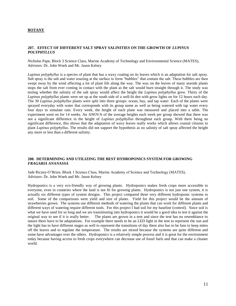#### **207. EFFECT OF DIFFERENT SALT SPRAY SALINITIES ON THE GROWTH OF** *LUPINUS POLYPHYLLUS*

Nicholas Pape, Block 3 Science Class, Marine Academy of Technology and Environmental Science (MATES), Advisors: Dr. John Wnek and Mr. Jason Kelsey

*Lupinus polyphyllus* is a species of plant that has a waxy coating on its leaves which is an adaptation for salt spray. Salt spray is the salt and water reacting at the surface to form "bubbles" that contain the salt. These bubbles are then swept away by the wind affecting a lot of plant life along the way. The wax on the leaves of many seaside plants stops the salt from ever coming in contact with the plant as the salt would burn straight through it. The study was testing whether the salinity of the salt spray would affect the height the *Lupinus polyphyllus* grew. Thirty of the *Lupinus polyphyllus* plants were set up at the south side of a well-lit den with grow lights on for 12 hours each day. The 30 *Lupinus polyphyllus* plants were split into three groups: ocean, bay, and tap water. Each of the plants were sprayed everyday with water that corresponds with its group name as well as being watered with tap water every four days to simulate rain. Every week, the height of each plant was measured and placed into a table. The experiment went on for 14 weeks. An ANOVA of the average heights each week per group showed that there was not a significant difference in the height of *Lupinus polyphyllus* throughout each group. With there being no significant difference, this shows that the adaptation of waxy leaves really works which allows coastal citizens to plant *Lupinus polyphyllus*. The results did not support the hypothesis as no salinity of salt spray affected the height any more or less than a different salinity.

#### **208. DETERMINING AND UTILIZING THE BEST HYDROPONICS SYSTEM FOR GROWING**  *FRAGARIA ANANASSA*

Jade Ricany-O'Brien, Block 1 Science Class, Marine Academy of Science and Technology (MATES), Advisors: Dr. John Wnek and Mr. Jason Kelsey

Hydroponics is a very eco-friendly way of growing plants. Hydroponics makes fresh crops more accessible to everyone, even in countries where the land is not fit for growing plants. Hydroponics is not just one system, it is actually six different types of system designs. This project compared three very different hydroponic systems to soil. Some of the comparisons were yield and size of plants. Yield for this project would be the amount of strawberries grown. The systems use different methods of watering the plants that can work for different plants and different ways of watering require different tools. For this project I had soil for my baseline (control). Since soil is what we have used for so long and we are transitioning into hydroponics it would be a good idea to test it against the original way to see if it is really better. The plants are grown in a tent and since the tent has no re The plants are grown in a tent and since the tent has no resemblance to nature there have to be adaptations. For example there needs to be an LED light in the tent to represent the sun and the light has to have different stages as well to represent the transitions of day there also has to be fans to keep mites off the leaves and to regulate the temperature. The results are mixed because the systems are quite different and some have advantages over the others. Hydroponics is a relatively simple process and it is great for the environment today because having access to fresh crops everywhere can decrease use of fossil fuels and that can make a cleaner world.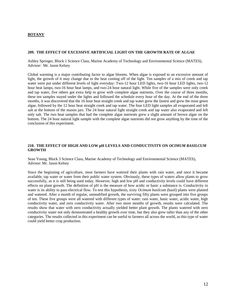#### **209. THE EFFECT OF EXCESSIVE ARTIFICIAL LIGHT ON THE GROWTH RATE OF ALGAE**

Ashley Springer, Block 1 Science Class, Marine Academy of Technology and Environmental Science (MATES), Advisor: Mr. Jason Kelsey

Global warming is a major contributing factor to algae blooms. When algae is exposed to an excessive amount of light, the growth of it may change due to the heat coming off of the light. Ten samples of a mix of creek and tap water were put under different levels of light everyday: Two-12 hour LED lights, two-16 hour LED lights, two-12 hour heat lamps, two-16 hour heat lamps, and two-24 hour natural light. While five of the samples were only creek and tap water, five others got extra help to grow with complete algae nutrients**.** Over the course of three months, these ten samples stayed under the lights and followed the schedule every hour of the day. At the end of the three months, it was discovered that the 16 hour heat straight creek and tap water grew the fastest and grew the most green algae, followed by the 12 hour heat straight creek and tap water. The four LED light samples all evaporated and left salt at the bottom of the mason jars. The 24 hour natural light straight creek and tap water also evaporated and left only salt. The two heat samples that had the complete algae nutrients grew a slight amount of brown algae on the bottom. The 24 hour natural light sample with the complete algae nutrients did not grow anything by the time of the conclusion of this experiment.

#### **210. THE EFFECT OF HIGH AND LOW pH LEVELS AND CONDUCTIVITY ON** *OCIMUM BASILCUM*  **GROWTH**

Sean Young, Block 3 Science Class, Marine Academy of Technology and Environmental Science (MATES), Advisor: Mr. Jason Kelsey

Since the beginning of agriculture, most farmers have watered their plants with rain water, and once it became available, tap water or water from their public water system. Obviously, these types of waters allow plants to grow successfully, as it is still being used today. However, high and low pH and conductivity levels could have different effects on plant growth. The definition of pH is the measure of how acidic or basic a substance is. Conductivity in water is its ability to pass electrical flow. To test this hypothesis, sixty *Ocimum basilcum* (basil) plants were planted and watered. After a month of regular, unmodified growth, the surviving fifty plants were grouped into five groups of ten. These five groups were all watered with different types of water: rain water, basic water, acidic water, high conductivity water, and zero conductivity water. After two more months of growth, results were calculated. The results show that water with zero conductivity actually yielded better plant growth. The plants watered with zero conductivity water not only demonstrated a healthy growth over time, but they also grew taller than any of the other categories. The results collected in this experiment can be useful to farmers all across the world, as this type of water could yield better crop production.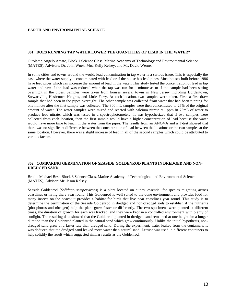#### **301. DOES RUNNING TAP WATER LOWER THE QUANTITIES OF LEAD IN THE WATER?**

Girolamo Angelo Amato, Block 1 Science Class, Marine Academy of Technology and Environmental Science (MATES), Advisors: Dr. John Wnek, Mrs. Kelly Kelsey, and Mr. David Werner

In some cities and towns around the world, lead contamination in tap water is a serious issue. This is especially the case where the water supply is contaminated with lead or if the house has lead pipes. Most houses built before 1986 have lead pipes which can increase the amount of lead in the water. This study tested the concentration of lead in tap water and saw if the lead was reduced when the tap was run for a minute as to if the sample had been sitting overnight in the pipes. Samples were taken from houses several towns in New Jersey including Bordentown, Stewartville, Hasbrouck Heights, and Little Ferry. At each location, two samples were taken. First, a first draw sample that had been in the pipes overnight. The other sample was collected from water that had been running for one minute after the first sample was collected. The 300 mL samples were then concentrated to 25% of the original amount of water. The water samples were mixed and reacted with calcium nitrate at 1ppm in 75mL of water to produce lead nitrate, which was tested in a spectrophotometer. It was hypothesized that if two samples were collected from each location, then the first sample would have a higher concentration of lead because the water would have more time to leach in the water from the pipes. The results from an ANOVA and a T-test showed that there was no significant difference between the concentration of lead between the locations or the two samples at the same location. However, there was a slight increase of lead in all of the second samples which could be attributed to various factors.

#### **302. COMPARING GERMINATION OF SEASIDE GOLDENROD PLANTS IN DREDGED AND NON-DREDGED SAND**

Brodie Michael Best, Block 3 Science Class, Marine Academy of Technological and Environmental Science (MATES), Advisor: Mr. Jason Kelsey

Seaside Goldenrod (*Solidago sempervirens*) is a plant located on dunes, essential for species migrating across coastlines or living there year round. This Goldenrod is well suited to the dune environment and provides food for many insects on the beach; it provides a habitat for birds that live near coastlines year round. This study is to determine the germination of the Seaside Goldenrod in dredged and non-dredged soils to establish if the nutrients (phosphorus and nitrogen) help the plant grow faster or differently. The two specimens were planted at different times, the duration of growth for each was tracked, and they were kept in a controlled environment with plenty of sunlight. The resulting data showed that the Goldenrod planted in dredged sand remained at one height for a longer duration than the Goldenrod planted in the natural sand which grew continuously. Unlike the initial hypothesis, nondredged sand grew at a faster rate than dredged sand. During the experiment, water leaked from the containers. It was deduced that the dredged sand leaked more water than natural sand. Lettuce was used in different containers to help solidify the result which suggested similar results as the Goldenrod.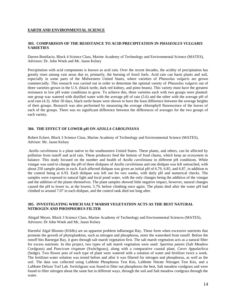#### **303. COMPARISON OF THE RESISTANCE TO ACID PRECIPITATION IN** *PHASEOLUS VULGARIS* **VARIETIES**

Darren Bonifacio, Block 4 Science Class, Marine Academy of Technology and Environmental Science (MATES), Advisors: Dr. John Wnek and Mr. Jason Kelsey

Precipitation with acid components is known as acid rain. Over the recent decades, the acidity of precipitation has greatly risen among vast areas due to, primarily, the burning of fossil fuels. Acid rain can harm plants and soil, especially in some parts of the Midwestern United States, where varieties of *Phaseolus vulgaris* are grown commercially. This research was carried out in order to determine the optimal variety of *Phaseolus vulgaris* out of three varieties grown in the U.S. (black turtle, dark red kidney, and pinto beans). This variety must have the greatest resistance to low pH water conditions to grow. To achieve this, three varieties each with two groups were planted: one group was watered with distilled water with the average pH of rain (5.6) and the other with the average pH of acid rain (4.3). After 50 days, black turtle beans were shown to have the least difference between the average heights of their groups. Research was also performed by measuring the average chlorophyll fluorescence of the leaves of each of the groups. There was no significant difference between the differences of averages for the two groups of each variety.

#### **304. THE EFFECT OF LOWER pH ON** *AZOLLA CAROLINIANA*

Robert Eckert, Block 3 Science Class, Marine Academy of Technology and Environmental Science (MATES), Advisor: Mr. Jason Kelsey

*Azolla caroliniana* is a plant native to the southeastern United States. These plants, and others, can be affected by pollution from runoff and acid rain. These producers feed the bottom of food chains, which keep an ecosystem in balance. This study focused on the number and health of *Azolla caroliniana* in different pH conditions. White vinegar was used to change the pH of three dishpans of *Azolla caroliniana* and one dishpan was left untouched, with about 250 sample plants in each. Each affected dishpan was given an initial pH of 6.79, 6.85, and 6.87, in addition to the control being at 6.93. Each dishpan was left out for two weeks, with daily pH and numerical checks. The samples were exposed to natural light and local pond water, with the only changes being the addition of the vinegar and the addition of the plants themselves. The plant samples showed little negative impact, however, natural changes caused the pH to lower to, at the lowest, 5.79, before climbing once again. The plants died after the water pH had climbed to around 7.07 in each dishpan, and the control tank died not long after.

#### **305. INVESTIGATING WHICH SALT MARSH VEGETATION ACTS AS THE BEST NATURAL NITROGEN AND PHOSPHORUS FILTER**

Abigail Meyer, Block 3 Science Class, Marine Academy of Technology and Environmental Sciences (MATES), Advisors: Dr John Wnek and Mr, Jason Kelsey

Harmful Algal Blooms (HABs) are an apparent problem inBarnegat Bay. These form when excessive nutrients that promote the growth of phytoplankton, such as nitrogen and phosphorus, enter the watershed from runoff. Before the runoff hits Barnegat Bay, it goes through salt marsh vegetation first. The salt marsh vegetation acts as a natural filter for excess nutrients. In this project, two types of salt marsh vegetation were used: *Spartina patens* (Salt Meadow Cordgrass) and *Pancicum virgatum* (Switchgrass), along with a comparative coastal plant, *Carex Appalachica*  (Sedge). Two flower pots of each type of plant were watered with a solution of water and fertilizer twice a week. The fertilizer-water solution was tested before and after it was filtered for nitrogen and phosphorus, as well as the soil. The data was collected using LaMotte Phosphorus Test Kits, LaMotte Nitrate Nitrogen Test Kits, and a LaMotte Deluxe Turf Lab. Switchgrass was found to filter out phosphorus the best, Salt meadow cordgrass and were found to filter nitrogen about the same but in different ways, through the soil and Salt meadow cordgrass through the water.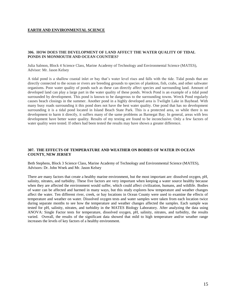#### **306. HOW DOES THE DEVELOPMENT OF LAND AFFECT THE WATER QUALITY OF TIDAL PONDS IN MONMOUTH AND OCEAN COUNTIES?**

Julia Salmon, Block 4 Science Class, Marine Academy of Technology and Environmental Science (MATES), Advisor: Mr. Jason Kelsey

A tidal pond is a shallow coastal inlet or bay that's water level rises and falls with the tide. Tidal ponds that are directly connected to the ocean or rivers are breeding grounds to species of plankton, fish, crabs, and other saltwater organisms. Poor water quality of ponds such as these can directly affect species and surrounding land. Amount of developed land can play a large part in the water quality of these ponds. Wreck Pond is an example of a tidal pond surrounded by development. This pond is known to be dangerous to the surrounding towns. Wreck Pond regularly causes beach closings in the summer. Another pond in a highly developed area is Twilight Lake in Bayhead. With many busy roads surrounding it this pond does not have the best water quality. One pond that has no development surrounding it is a tidal pond located in Island Beach State Park. This is a protected area, so while there is no development to harm it directly, it suffers many of the same problems as Barnegat Bay. In general, areas with less development have better water quality. Results of my testing are found to be inconclusive. Only a few factors of water quality were tested. If others had been tested the results may have shown a greater difference.

#### **307. THE EFFECTS OF TEMPERATURE AND WEATHER ON BODIES OF WATER IN OCEAN COUNTY, NEW JERSEY**

Beth Stephens, Block 3 Science Class, Marine Academy of Technology and Environmental Science (MATES), Advisors: Dr. John Wnek and Mr. Jason Kelsey

There are many factors that create a healthy marine environment, but the most important are: dissolved oxygen, pH, salinity, nitrates, and turbidity. These five factors are very important when keeping a water source healthy because when they are affected the environment would suffer, which could affect civilization, humans, and wildlife. Bodies of water can be affected and harmed in many ways, but this study explores how temperature and weather changes affect the water. Ten different river, creek, or bay locations in Ocean County were used to examine the effects of temperature and weather on water. Dissolved oxygen tests and water samples were taken from each location twice during separate months to see how the temperature and weather changes affected the samples. Each sample was tested for pH, salinity, nitrates, and turbidity in the MATES Biology Laboratory. After analyzing the data using ANOVA: Single Factor tests for temperature, dissolved oxygen, pH, salinity, nitrates, and turbidity, the results varied. Overall, the results of the significant data showed that mild to high temperature and/or weather range increases the levels of key factors of a healthy environment.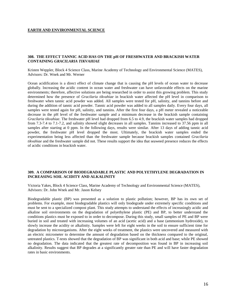#### **308. THE EFFECT TANNIC ACID HAS ON THE pH OF FRESHWATER AND BRACKISH WATER CONTAINING** *GRACILARIA TIKVAHIAE*

Kristen Weppler, Block 4 Science Class, Marine Academy of Technology and Environmental Science (MATES), Advisors: Dr. Wnek and Mr. Werner

Ocean acidification is a direct effect of climate change that is causing the pH levels of ocean water to decrease globally. Increasing the acidic content in ocean water and freshwater can have unfavorable effects on the marine environments; therefore, affective solutions are being researched in order to assist this growing problem. This study determined how the presence of *Gracilaria tikvahiae* in brackish water affected the pH level in comparison to freshwater when tannic acid powder was added. All samples were tested for pH, salinity, and tannins before and during the addition of tannic acid powder. Tannic acid powder was added to all samples daily. Every four days, all samples were tested again for pH, salinity, and tannins. After the first four days, a pH meter revealed a noticeable decrease in the pH level of the freshwater sample and a minimum decrease in the brackish sample containing *Gracilaria tikvahiae*. The freshwater pH level had dropped from 6.5 to 4.9, the brackish water samples had dropped from 7.3-7.4 to 7.1-7.2, and salinity showed slight decreases in all samples. Tannins increased to 37.56 ppm in all samples after starting at 0 ppm. In the following days, results were similar. After 13 days of adding tannic acid powder, the freshwater pH level dropped the most. Ultimately, the brackish water samples ended the experimentation being less affected than the freshwater sample because brackish samples contained *Gracilaria tikvahiae* and the freshwater sample did not. These results support the idea that seaweed presence reduces the effects of acidic conditions in brackish water.

#### **309. A COMPARISON OF BIODEGRADABLE PLASTIC AND POLYETHYLENE DEGRADATION IN INCREASING SOIL ACIDITY AND ALKALINITY**

Victoria Yakes, Block 4 Science Class, Marine Academy of Technology and Environmental Science (MATES), Advisors: Dr. John Wnek and Mr. Jason Kelsey

Biodegradable plastic (BP) was presented as a solution to plastic pollution; however, BP has its own set of problems. For example, most biodegradable plastics will only biodegrade under extremely specific conditions and must be sent to a specialized compost plant. This study attempts to understand the effects of increasingly acidic and alkaline soil environments on the degradation of polyethylene plastic (PE) and BP, to better understand the conditions plastics must be exposed to in order to decompose. During this study, small samples of PE and BP were buried in soil and treated with increasing volumes of an acid (acetic acid) and a base (ammonium hydroxide), to slowly increase the acidity or alkalinity. Samples were left for eight weeks in the soil to ensure sufficient time for degradation by microorganisms. After the eight weeks of treatment, the plastics were uncovered and measured with an electric micrometer to determine the amount of degradation based on the thickness compared to the original, untreated plastics. T-tests showed that the degradation of BP was significant in both acid and base; while PE showed no degradation. The data indicated that the greatest rate of decomposition was found in BP in increasing soil alkalinity. Results suggest that BP degrades at a significantly greater rate than PE and will have faster degradation rates in basic environments.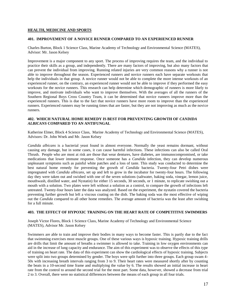#### **401. IMPROVEMENT OF A NOVICE RUNNER COMPARED TO AN EXPERIENCED RUNNER**

Charles Burton, Block 1 Science Class, Marine Academy of Technology and Environmental Science (MATES), Advisor: Mr. Jason Kelsey

Improvement is a major component to any sport. The process of improving requires the team, and the individual to practice their skills as a group, and independently. There are many factors of improving, but also many factors that can prevent the individual from improving. Running related injuries are very common reasons why a runner is not able to improve throughout the season. Experienced runners and novice runners each have separate workouts that help the individuals in that group. A novice runner would not be able to complete the more intense workouts of an experienced runner, on the contrary, an experienced runner would not be able to improve if they performed the easy workouts for the novice runners. This research can help determine which demographic of runners is more likely to improve, and motivate individuals who want to improve themselves. With the averages of all the runners of the Southern Regional Boys Cross Country Team, it can be determined that novice runners improve more than the experienced runners. This is due to the fact that novice runners have more room to improve than the experienced runners. Experienced runners may be running times that are faster, but they are not improving as much as the novice runners.

#### **402. WHICH NATURAL HOME REMEDY IS BEST FOR PREVENTING GROWTH OF** *CANDIDA ALBICANS* **COMPARED TO AN ANTIFUNGAL**

Katherine Elmer, Block 4 Science Class, Marine Academy of Technology and Environmental Science (MATES), Advisors: Dr. John Wnek and Mr. Jason Kelsey

*Candida albicans* is a bacterial yeast found in almost everyone. Normally the yeast remains dormant, without causing any damage, but in some cases, it can cause harmful infections. These infections can also be called Oral Thrush. People who are most at risk are those that wear dentures, have diabetes, are immunocompromised, or take medications that lower immune response. Once someone has a *Candida* infection, they can develop numerous unpleasant symptoms such as painful white patches and a loss of taste. This study was conducted to determine the best natural home remedy for preventing the growth of *Candida* bacteria. Twenty-four Petri dishes were impregnated with *Candida albicans*, set up and left to grow in the incubator for twenty-four hours. The following day they were taken out and swished with one of the seven solutions (saltwater, baking soda, vinegar, lemon juice, mouthwash, distilled water, and Nystatin) for either 15 seconds, 30 seconds, or 1 minute, to replicate swishing out a mouth with a solution. Two plates were left without a solution as a control, to compare the growth of infections left untreated. Twenty-four hours later the data was analyzed. Based on the experiment, the nystatin covered the bacteria preventing further growth but left a viscous coating on the dish. The baking soda was the most effective of wiping out the *Candida* compared to all other home remedies. The average amount of bacteria was the least after swishing for a full minute.

#### **403. THE EFFECT OF HYPOXIC TRAINING ON THE HEART RATE OF COMPETITIVE SWIMMERS**

Joseph Victor Flores, Block 1 Science Class, Marine Academy of Technology and Environmental Science (MATES), Advisor Mr. Jason Kelsey

Swimmers are able to train and improve their bodies in many ways to become faster. This is partly due to the fact that swimming exercises most muscle groups. One of these various ways is hypoxic training. Hypoxic training drills are drills that limit the amount of breaths a swimmer is allowed to take. Training in low oxygen environments can aid in the increase of lung capacity and endurance. The aim of this experiment was to observe the effects of this type of training on heart rate. The data of this experiment can show the cardiological effects of hypoxic training. Subjects were split into two groups determined by gender. The boys were split further into three groups. Each group swam 4- 50s with increasing breath intervals ranging from 3 to 9. Their heart rates were measured shortly after by counting the beats in a 10-second time frame and multiplying the value by 6. The results showed an initial increase in heart rate from the control to around the second trial for the most part. Some data, however, showed a decrease from trial 2 to 3. Overall, there were no statistical differences between the means of each group in all four trials.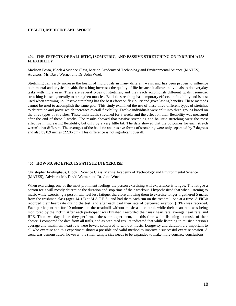#### **404. THE EFFECTS OF BALLISTIC, ISOMETRIC, AND PASSIVE STRETCHING ON INDIVIDUAL'S FLEXIBILITY**

Madison Fossa, Block 4 Science Class, Marine Academy of Technology and Environmental Science (MATES), Advisors: Mr. Dave Werner and Dr. John Wnek

Stretching can vastly increase the health of individuals in many different ways, and has been proven to influence both mental and physical health. Stretching increases the quality of life because it allows individuals to do everyday tasks with more ease. There are several types of stretches, and they each accomplish different goals. Isometric stretching is used generally to strengthen muscles. Ballistic stretching has temporary effects on flexibility and is best used when warming up. Passive stretching has the best effect on flexibility and gives lasting benefits. These methods cannot be used to accomplish the same goal. This study examined the use of these three different types of stretches to determine and prove which increases overall flexibility. Twelve individuals were split into three groups based on the three types of stretches. These individuals stretched for 3 weeks and the effect on their flexibility was measured after the end of these 3 weeks. The results showed that passive stretching and ballistic stretching were the most effective in increasing flexibility, but only by a very little bit. The data showed that the outcomes for each stretch weren't that different. The averages of the ballistic and passive forms of stretching were only separated by 7 degrees and also by 0.9 inches (22.86 cm). This difference is not significant overall.

#### **405. HOW MUSIC EFFECTS FATIGUE IN EXERCISE**

Christopher Frielinghaus, Block 1 Science Class, Marine Academy of Technology and Environmental Science (MATES), Advisors: Mr. David Werner and Dr. John Wnek

When exercising, one of the most prominent feelings the person exercising will experience is fatigue. The fatigue a person feels will mostly determine the duration and stop time of their workout. I hypothesized that when listening to music while exercising a person will feel less fatigue, therefore allowing them to exercise longer. I gathered 5 males from the freshman class (ages 14-15) at M.A.T.E.S., and had them each run on the treadmill one at a time. A FitBit recorded their heart rate during the test, and after each trial their rate of perceived exertion (RPE) was recorded. Each participant ran for 10 minutes on the treadmill without music as a control, while their heart rate was being monitored by the FitBit. After each participant was finished I recorded their max heart rate, average heart rate, and RPE. Then two days later, they performed the same experiment, but this time while listening to music of their choice. I compared the data from all trails, and as predicted results indicated that while listening to music a person's average and maximum heart rate were lower, compared to without music. Longevity and duration are important to all who exercise and this experiment shows a possible and valid method to improve a successful exercise session. A trend was demonstrated; however, the small sample size needs to be expanded to make more concrete conclusions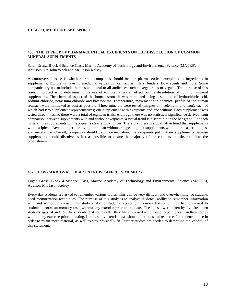#### **406. THE EFFECT OF PHARMACEUTICAL EXCIPIENTS ON THE DISSOLUTION OF COMMON MINERAL SUPPLEMENTS**

Sarah Grenz, Block 4 Science Class, Marine Academy of Technology and Environmental Science (MATES), Advisors: Dr. John Wnek and Mr. Jason Kelsey

A controversial issue is whether or not companies should include pharmaceutical excipients as ingredients in supplements. Excipients have no medicinal values but can act as fillers, binders, flow agents and more. Some companies try not to include them as an appeal to all audiences such as vegetarians or vegans. The purpose of this research project is to determine if the use of excipients has an effect on the dissolution of common mineral supplements. The chemical-aspect of the human stomach was mimicked using a solution of hydrochloric acid, sodium chloride, potassium chloride and bicarbonate. Temperature, movement and chemical profile of the human stomach were mimicked as best as possible. Three minerals were tested (magnesium, selenium, and iron), each of which had two supplement representatives; one supplement with excipients and one without. Each supplement was tested three times, so there were a total of eighteen trials. Although there was no statistical significance derived from comparison between supplements with and without excipients, a visual trend is discernible in the bar graph. For each mineral, the supplements with excipients clearly took longer. Therefore, there is a qualitative trend that supplements with excipients have a longer dissolving time than without, suggesting that supplements without are easier to digest and metabolize. Overall, companies should be concerned about the excipients put in their supplements because supplements should dissolve as fast as possible to ensure the majority of the contents are absorbed into the bloodstream.

#### **407. HOW CARDIOVASCULAR EXERCISE AFFECTS MEMORY**

Logan Gross, Block 4 Science Class, Marine Academy of Technology and Environmental Science (MATES), Advisor: Mr. Jason Kelsey

Every day students are asked to remember various topics. This can be very difficult and overwhelming, so students need memorization techniques. The purpose of this study is to analyze students' ability to remember information with and without exercise. This study analyzed students' scores on memory tests after they had exercised to students' scores on memory tests without any exercise prior to the tests. These tests were taken by five freshmen students ages 14 and 15. The students' test scores after they had exercised were found to be higher than their scores without any exercise prior to testing. In this study exercise was shown to be a useful resource for students to use in order to retain more material, as well as stay physically fit. Further studies are needed to determine the validity of this statement.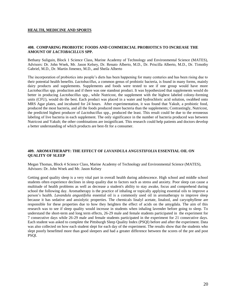#### **408. COMPARING PROBIOTIC FOODS AND COMMERCIAL PROBIOTICS TO INCREASE THE AMOUNT OF** *LACTOBACILLUS* **SPP.**

Bethany Suliguin, Block 1 Science Class, Marine Academy of Technology and Environmental Science (MATES), Advisors: Dr. John Wnek, Mr. Jason Kelsey, Dr. Renato Alberto, M.D., Dr. Priscilla Alberto, M.D., Dr. Timothy Gabriel, M.D., Dr. Martin Jimenez, M.D., and Sheila Alberto

The incorporation of probiotics into people's diets has been happening for many centuries and has been rising due to their potential health benefits. *Lactobacillus*, a common genus of probiotic bacteria, is found in many forms, mainly dairy products and supplements. Supplements and foods were tested to see if one group would have more *Lactobacillus* spp. production and if there was one standout product. It was hypothesized that supplements would do better in producing *Lactobacillus* spp., while Nutricost, the supplement with the highest labeled colony-forming units (CFU), would do the best. Each product was placed in a water and hydrochloric acid solution, swabbed onto MRS Agar plates, and incubated for 24 hours. After experimentation, it was found that Yakult, a probiotic food, produced the most bacteria, and all the foods produced more bacteria than the supplements; Contrastingly, Nutricost, the predicted highest producer of *Lactobacillus* spp., produced the least. This result could be due to the erroneous labeling of live bacteria in each supplement. The only significance in the number of bacteria produced was between Nutricost and Yakult; the other combinations are insignificant. This research could help patients and doctors develop a better understanding of which products are best-fit for a consumer.

#### **409. AROMATHERAPY: THE EFFECT OF** *LAVANDULA ANGUSTIFOLIA* **ESSENTIAL OIL ON QUALITY OF SLEEP**

Megan Thomas, Block 4 Science Class, Marine Academy of Technology and Environmental Science (MATES), Advisors: Dr. John Wnek and Mr. Jason Kelsey

Getting good quality sleep is a very vital part in overall health during adolescence. High school and middle school students often experience declines in sleep quality due to factors such as stress and anxiety. Poor sleep can cause a multitude of health problems as well as decrease a student's ability to stay awake, focus and comprehend during school the following day. Aromatherapy is the practice of inhaling or topically applying essential oils to improve a person's health. *Lavandula angustifolia* essential oil is a commonly used oil in aromatherapy to improve sleep because it has sedative and anxiolytic properties. The chemicals linalyl acetate, linalool, and caryophyllene are responsible for these properties due to how they heighten the effect of acids on the amygdala. The aim of this research was to see if sleep quality would increase in students when inhaling lavender before going to sleep. To understand the short-term and long term effects, 26-29 male and female students participated in the experiment for 7 consecutive days while 26-29 male and female students participated in the experiment for 21 consecutive days. Each student was asked to complete the Pittsburgh Sleep Quality Index (PSQI) before and after the experiment. Data was also collected on how each student slept for each day of the experiment. The results show that the students who slept poorly benefitted more than good sleepers and had a greater difference between the scores of the pre and post PSQI.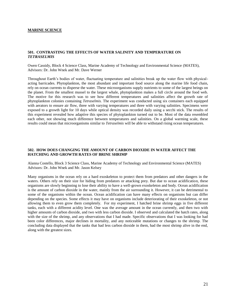#### **501. CONTRASTING THE EFFECTS OF WATER SALINITY AND TEMPERATURE ON**  *TETRASELMIS*

Owen Cassidy, Block 4 Science Class, Marine Academy of Technology and Environmental Science (MATES), Advisors: Dr. John Wnek and Mr. Dave Werner

Throughout Earth's bodies of water, fluctuating temperature and salinities break up the water flow with physicalacting barricades. Phytoplankton, the most abundant and important food source along the marine life food chain, rely on ocean currents to disperse the water. These microorganisms supply nutrients to some of the largest beings on the planet. From the smallest mussel to the largest whale, phytoplankton makes a full circle around the food web. The motive for this research was to see how different temperatures and salinities affect the growth rate of phytoplankton colonies containing *Tetraselmis.* The experiment was conducted using six containers each equipped with aerators to ensure air flow, three with varying temperatures and three with varying salinities. Specimens were exposed to a growth light for 10 days while optical density was recorded daily using a secchi stick. The results of this experiment revealed how adaptive this species of phytoplankton turned out to be. Most of the data resembled each other, not showing much difference between temperatures and salinities. On a global warming scale, these results could mean that microorganisms similar to *Tetraselmis* will be able to withstand rising ocean temperatures.

#### **502. HOW DOES CHANGING THE AMOUNT OF CARBON DIOXIDE IN WATER AFFECT THE HATCHING AND GROWTH RATES OF BRINE SHRIMP**

Alanna Costello, Block 3 Science Class, Marine Academy of Technology and Environmental Science (MATES) Advisors: Dr. John Wnek and Mr. Jason Kelsey

Many organisms in the ocean rely on a hard exoskeleton to protect them from predators and other dangers in the waters. Others rely on their size for hiding from predators or attacking prey. But due to ocean acidification, these organisms are slowly beginning to lose their ability to have a well-grown exoskeleton and body. Ocean acidification is the amount of carbon dioxide in the water, mainly from the air surrounding it. However, it can be detrimental to some of the organisms within the ocean. Ocean acidification can have many effects on organisms but can differ depending on the species. Some effects it may have on organisms include deteriorating of their exoskeleton, or not allowing them to even grow them completely. For my experiment, I hatched brine shrimp eggs in five different tanks, each with a different acidity level. One was the average amount in the ocean currently, and then two with higher amounts of carbon dioxide, and two with less carbon dioxide. I observed and calculated the hatch rates, along with the size of the shrimp, and any observations that I had made. Specific observations that I was looking for had been color differences, major declines in mortality, and any noticeable mutations or changes to the shrimp. The concluding data displayed that the tanks that had less carbon dioxide in them, had the most shrimp alive in the end, along with the greatest sizes.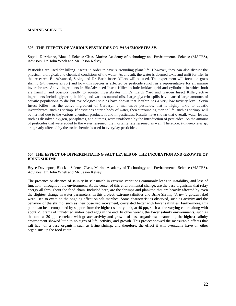#### **503. THE EFFECTS OF VARIOUS PESTICIDES ON** *PALAEMONETES SP.*

Sophia D'Arienzo, Block 1 Science Class, Marine Academy of technology and Environmental Science (MATES), Advisors: Dr. John Wnek and Mr. Jason Kelsey

Pesticides are used for killing insects in order to save surrounding plant life. However, they can also disrupt the physical, biological, and chemical conditions of the water. As a result, the water is deemed toxic and unfit for life. In this research, BioAdvanced, Sevin, and Dr. Earth insect killers will be used. The experiment will focus on grass shrimp (*Palaemonetes sp.*) and how this species is affected by pesticide runoff as a representative for all marine invertebrates. Active ingredients in BioAdvanced Insect Killer include imidacloprid and cyfluthrin in which both are harmful and possibly deadly to aquatic invertebrates. In Dr. Earth Yard and Garden Insect Killer, active ingredients include glycerin, lecithin, and various natural oils. Large glycerin spills have caused large amounts of aquatic populations to die but toxicological studies have shown that lecithin has a very low toxicity level. Sevin Insect Killer has the active ingredient of Carbaryl, a man-made pesticide, that is highly toxic to aquatic invertebrates, such as shrimp. If pesticides enter a body of water, then surrounding marine life, such as shrimp, will be harmed due to the various chemical products found in pesticides. Results have shown that overall, water levels, such as dissolved oxygen, phosphates, and nitrates, were unaffected by the introduction of pesticides. As the amount of pesticides that were added to the water lessened, the mortality rate lessened as well. Therefore, *Palaemonetes sp.* are greatly affected by the toxic chemicals used in everyday pesticides.

#### **504. THE EFFECT OF DIFFERENTIATING SALT LEVELS ON THE INCUBATION AND GROWTH OF BRINE SHRIMP**

Bryce Davenport, Block 1 Science Class, Marine Academy of Technology and Environmental Science (MATES), Advisors: Dr. John Wnek and Mr. Jason Kelsey.

The presence or absence of salinity in salt marsh in extreme variations commonly leads to instability, and loss of function , throughout the environment. At the center of this environmental change, are the base organisms that relay energy all throughout the food chain. Included here, are the shrimps and plankton that are heavily affected by even the slightest change in water parameters. In this project, extreme salinities and Brine Shrimp (*Artemia* golden lake) were used to examine the ongoing effect on salt marshes. Some characteristics observed, such as activity and the behavior of the shrimp, such as their observed movement, correlated better with lower salinities. Furthermore, this point can be accompanied by support from the highest salinity tank, at 40 ppt, such as the varying colors along with about 29 grams of unhatched and/or dead eggs in the end. In other words, the lower salinity environments, such as the tank at 20 ppt, correlate with greater activity and growth of base organisms; meanwhile, the highest salinity environment showed little to no signs of life, activity, and growth. This project showed the measurable effects that salt has on a base organism such as Brine shrimp, and therefore, the effect it will eventually have on other organisms up the food chain.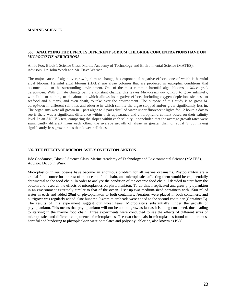#### **505. ANALYZING THE EFFECTS DIFFERENT SODIUM CHLORIDE CONCENTRATIONS HAVE ON**  *MICROCYSTIS AERUGINOSA*

Annie Foo, Block 1 Science Class, Marine Academy of Technology and Environmental Science (MATES), Advisors: Dr. John Wnek and Mr. Dave Werner

The major cause of algae overgrowth, climate change, has exponential negative effects- one of which is harmful algal blooms. Harmful algal blooms (HABs) are algae colonies that are produced in eutrophic conditions that become toxic to the surrounding environment. One of the most common harmful algal blooms is *Microcystis aeruginosa.* With climate change being a constant change, this leaves *Microcystis aeruginosa* to grow infinitely, with little to nothing to do about it; which allows its negative effects, including oxygen depletion, sickness to seafood and humans, and even death, to take over the environment. The purpose of this study is to grow *M. aeruginosa* in different salinities and observe in which salinity the algae stopped and/or grew significantly less in. The organisms were all grown in 1 part algae to 3 parts distilled water under fluorescent lights for 12 hours a day to see if there was a significant difference within their appearance and chlorophyll-a content based on their salinity level. In an ANOVA test, comparing the slopes within each salinity, it concluded that the average growth rates were significantly different from each other; the average growth of algae in greater than or equal 9 ppt having significantly less growth rates than lower salinities.

#### **506. THE EFFECTS OF MICROPLASTICS ON PHYTOPLANKTON**

Jide Gbadamosi, Block 3 Science Class, Marine Academy of Technology and Environmental Science (MATES), Advisor: Dr. John Wnek

Microplastics in our oceans have become an enormous problem for all marine organisms. Phytoplankton are a crucial food source for the rest of the oceanic food chain, and microplastics affecting them would be exponentially detrimental to the food chain. In order to analyze the condition of the oceanic food chain, I decided to start from the bottom and research the effects of microplastics on phytoplankton. To do this, I replicated and grew phytoplankton in an environment extremely similar to that of the ocean. I set up two medium-sized containers with 1500 ml of water in each and added 20ml of phytoplankton to both containers. Aerators were placed in both containers, and nutrigrow was regularly added. One hundred 0.4mm microbeads were added to the second container (Container B). The results of this experiment suggest our worst fears: Microplastics substantially hinder the growth of phytoplankton. This means that phytoplankton will not be able to grow as fast as it is being consumed, thus leading to starving in the marine food chain. Three experiments were conducted to see the effects of different sizes of microplastics and different components of microplastics. The two chemicals in microplastics found to be the most harmful and hindering to phytoplankton were phthalates and polyvinyl chloride, also known as PVC.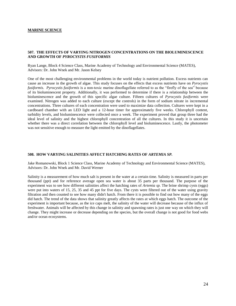#### **507. THE EFFECTS OF VARYING NITROGEN CONCENTRATIONS ON THE BIOLUMINESCENCE AND GROWTH OF** *PYROCYSTIS FUSIFORMIS*

Ryan Lange, Block 4 Science Class, Marine Academy of Technology and Environmental Science (MATES), Advisors: Dr. John Wnek and Mr. Jason Kelsey

One of the most challenging environmental problems in the world today is nutrient pollution. Excess nutrients can cause an increase in the growth of algae. This study focuses on the effects that excess nutrients have on *Pyrocystis fusiformis*. *Pyrocystis fusiformis* is a non-toxic marine dinoflagellate referred to as the "firefly of the sea" because of its bioluminescent property. Additionally, it was performed to determine if there is a relationship between the bioluminescence and the growth of this specific algae culture. Fifteen cultures of *Pyrocystis fusiformis* were examined. Nitrogen was added to each culture (except the controls) in the form of sodium nitrate in incremental concentrations. Three cultures of each concentration were used to maximize data collection. Cultures were kept in a cardboard chamber with an LED light and a 12-hour timer for approximately five weeks. Chlorophyll content, turbidity levels, and bioluminescence were collected once a week. The experiment proved that group three had the ideal level of salinity and the highest chlorophyll concentration of all the cultures. In this study it is uncertain whether there was a direct correlation between the chlorophyll level and bioluminescence. Lastly, the photometer was not sensitive enough to measure the light emitted by the dinoflagellates.

#### **508. HOW VARYING SALINITIES AFFECT HATCHING RATES OF** *ARTEMIA SP.*

Jake Romanowski, Block 1 Science Class, Marine Academy of Technology and Environmental Science (MATES), Advisors: Dr. John Wnek and Mr. David Werner

Salinity is a measurement of how much salt is present in the water at a certain time. Salinity is measured in parts per thousand (ppt) and for reference average open sea water is about 35 parts per thousand. The purpose of the experiment was to see how different salinities affect the hatching rates of *Artemia sp.* The brine shrimp cysts (eggs) were put into waters of 15, 25, 35 and 45 ppt for five days. The cysts were filtered out of the water using gravity filtration and then counted to see how many didn't hatch. From there it is possible to find out how many of the eggs did hatch. The trend of the data shows that salinity greatly affects the rates at which eggs hatch. The outcome of the experiment is important because, as the ice caps melt, the salinity of the water will decrease because of the influx of freshwater. Animals will be affected by this change in salinity and spawning rates is just one way on which they will change. They might increase or decrease depending on the species, but the overall change is not good for food webs and/or ocean ecosystems.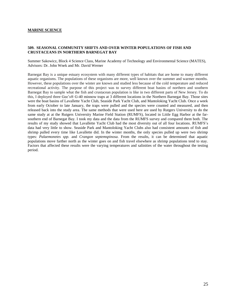#### **509. SEASONAL COMMUNITY SHIFTS AND OVER WINTER POPULATIONS OF FISH AND CRUSTACEANS IN NORTHERN BARNEGAT BAY**

Summer Sakowicz, Block 4 Science Class, Marine Academy of Technology and Environmental Science (MATES), Advisors: Dr. John Wnek and Mr. David Werner

Barnegat Bay is a unique estuary ecosystem with many different types of habitats that are home to many different aquatic organisms. The populations of these organisms are more, well known over the summer and warmer months. However, these populations over the winter are known and studied less because of the cold temperature and reduced recreational activity. The purpose of this project was to survey different boat basins of northern and southern Barnegat Bay to sample what the fish and crustacean population is like in two different parts of New Jersey. To do this, I deployed three Gee's® G-40 minnow traps at 3 different locations in the Northern Barnegat Bay. Those sites were the boat basins of Lavallette Yacht Club, Seaside Park Yacht Club, and Mantoloking Yacht Club. Once a week from early October to late January, the traps were pulled and the species were counted and measured, and then released back into the study area. The same methods that were used here are used by Rutgers University to do the same study at at the Rutgers University Marine Field Station (RUMFS), located in Little Egg Harbor at the farsouthern end of Barnegat Bay. I took my data and the data from the RUMFS survey and compared them both. The results of my study showed that Lavallette Yacht Club had the most diversity out of all four locations. RUMFS's data had very little to show. Seaside Park and Mantoloking Yacht Clubs also had consistent amounts of fish and shrimp pulled every time like Lavallette did. In the winter months, the only species pulled up were two shrimp types: *Palaemonetes spp.* and *Crangon septemspinosa*. From the results, it can be determined that aquatic populations move farther north as the winter goes on and fish travel elsewhere as shrimp populations tend to stay. Factors that affected these results were the varying temperatures and salinities of the water throughout the testing period.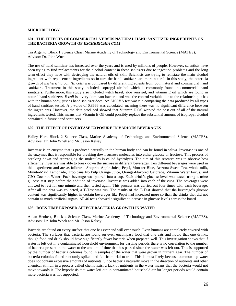#### **MICROBIOLOGY**

#### **601. THE EFFECTS OF COMMERCIAL VERSUS NATURAL HAND SANITIZER INGREDIENTS ON THE BACTERIA GROWTH OF** *ESCHERICHIA COLI*

Tia Argento, Block 1 Science Class, Marine Academy of Technology and Environmental Science (MATES), Advisor: Dr. John Wnek

The use of hand sanitizer has increased over the years and is used by millions of people. However, scientists have been trying to find replacements for the alcohol content in these sanitizers due to ingestion problems and the long term effect they have with destroying the natural oils of skin. Scientists are trying to reinstate the main alcohol ingredient with replacement ingredients so in turn the hand sanitizers are more natural. In this study, the batericia growth of *Escherichia coli (E. coli)* was compared by different ingredients from both natural and commercial hand sanitizers. Treatment in this study included isopropyl alcohol which is commonly found in commercial hand sanitizers. Furthermore, this study also included witch hazel, aloe vera gel, and vitamin E oil which are found in natural hand sanitizers*. E coli* is a very dominant bacteria and was the control variable due to the relationship it has with the human body, just as hand sanitizer does. An ANOVA test was run comparing the data produced by all types of hand sanitizer tested. A p-value of 0.8666 was calculated, meaning there was no significant difference between the ingredients. However, the data produced showed that Vitamin E Oil worked the best out of all of the natural ingredients tested. This means that Vitamin E Oil could possibly replace the substantial amount of isopropyl alcohol contained in future hand sanitizers.

#### **602. THE EFFECT OF INVERTASE EXPOSURE IN VARIOUS BEVERAGES**

Hailey Hart, Block 2 Science Class, Marine Academy of Technology and Environmental Science (MATES), Advisors: Dr. John Wnek and Mr. Jason Kelsey

Invertase is an enzyme that is produced naturally in the human body and can be found in saliva. Invertase is one of the enzymes that is responsible for breaking down sucrose molecules into either glucose or fructose. This process of breaking down and rearranging the molecules is called hydrolysis. The aim of this research was to observe how efficiently invertase was able to break down the sucrose in different beverages. Ten different beverages were used in this experiment and are as follows: Shoprite Apple Juice, Pepsi, Monster Blue, Arizona Sweet Tea, whole milk, Minute-Maid Lemonade, Tropicana No Pulp Orange Juice, Orange-Flavored Gatorade, Vitamin Water Focus, and C2O Coconut Water. Each beverage was poured into a cup. Each drink's glucose level was tested using a urine glucose test strip before the addition of invertase. Invertase was added into each of the cups. The beverages were allowed to rest for one minute and then tested again. This process was carried out four times with each beverage. After all the data was collected, a T-Test was run. The results of the T-Test showed that the beverage's glucose content was significantly higher in certain beverages like Pepsi had increased more so than the drinks that did not contain as much artificial sugars. All 40 tests showed a significant increase in glucose levels across the board.

#### **603. DOES TIME EXPOSED AFFECT BACTERIA GROWTH IN WATER**

Aidan Henbest, Block 4 Science Class, Marine Academy of Technology and Environmental Science (MATES), Advisors: Dr. John Wnek and Mr. Jason Kelsey

Bacteria are found on every surface that one has ever and will ever touch. Even humans are completely covered with bacteria. The surfaces that bacteria are found on even encompass food that one eats and liquid that one drinks, though food and drink should have significantly fewer bacteria when prepared well. This investigation shows that if water is left out in a contaminated household environment for varying periods there is no correlation to the number of bacteria present in the water to the amount of time that has passed since the water was left out. This is supported by the number of bacteria colonies found in samples of the water that were grown in nutrient agar. The number of bacteria colonies found randomly spiked and fell from trial to trial. This is most likely because common tap water does not contain excessive amounts of nutrients. Since bacteria naturally move in the direction of nutrients and other chemical stimuli in a process called chemotaxis, a lack of nutrients in the water means that the bacteria would not move towards it. The hypothesis that water left out in contaminated household air for longer periods would contain more bacteria was not supported.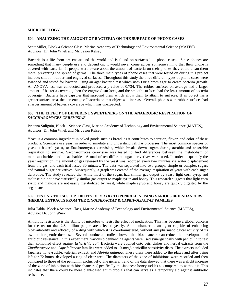#### **MICROBIOLOGY**

#### **604. ANALYZING THE AMOUNT OF BACTERIA ON THE SURFACE OF PHONE CASES**

Scott Miller, Block 4 Science Class, Marine Academy of Technology and Environmental Science (MATES), Advisors: Dr. John Wnek and Mr. Jason Kelsey

Bacteria is a life form present around the world and is found on surfaces like phone cases. Since phones are something that many people use and depend on, it would never come across someone's mind that their phone is covered with bacteria. If people were aware about the amount of bacteria on their phones they could clean them more, preventing the spread of germs. The three main types of phone cases that were tested on during this project include: smooth, rubber, and engraved surfaces. Throughout this study the three different types of phone cases were swabbed and tested for bacteria, using an agar bacteria test which uses Luria broth agar to create bacteria growth. An ANOVA test was conducted and produced a p-value of 0.734. The rubber surfaces on average had a larger amount of bacteria coverage, then the engraved surfaces, and the smooth surfaces had the least amount of bacteria coverage. Bacteria have capsules that surround them which allow them to attach to surfaces. If an object has a greater surface area, the percentage of bacteria on that object will increase. Overall, phones with rubber surfaces had a larger amount of bacteria coverage which was unexpected.

#### **605. THE EFFECT OF DIFFERENT SWEETENERS ON THE ANAEROBIC RESPIRATION OF**  *SACCHAROMYCES CEREVISIAE*

Brianna Suliguin, Block 1 Science Class, Marine Academy of Technology and Environmental Science (MATES), Advisors: Dr. John Wnek and Mr. Jason Kelsey

Yeast is a common ingredient in baked goods such as bread, as it contributes to aeration, flavor, and color of these products. Scientists use yeast in order to simulate and understand cellular processes. The most common species of yeast is baker's yeast, or Saccharomyces cerevisiae, which breaks down sugars during aerobic and anaerobic respiration to survive. Saccharomyces cerevisiae was tested to find differences between the metabolism of monosaccharides and disaccharides. A total of ten different sugar derivatives were used. In order to quantify the yeast respiration, the amount of gas released by the yeast was recorded every two minutes via water displacement from the gas, and each trial lasted 30 minutes. The data was separated into two groups: simple or complex sugars and natural sugar derivatives; Subsequently, a graph was created of the average respiration of yeast with each sugar derivative. The study revealed that while most of the sugars had similar gas output by yeast, light corn syrup and maltose did not have statistically similar gas output to maple syrup and honey. This research suggests that light corn syrup and maltose are not easily metabolized by yeast, while maple syrup and honey are quickly digested by the organisms.

#### **606. TESTING THE SUSCEPTIBILITY OF** *E. COLI* **TO PENICILLIN USING VARIOUS BIOENHANCERS (HERBAL EXTRACTS FROM THE** *ZINGIBERACEAE* **&** *CAPRIFOLIACEAE* **FAMILIES**

Julia Takla, Block 4 Science Class, Marine Academy of Technology and Environmental Science (MATES), Advisor: Dr. John Wnek

Antibiotic resistance is the ability of microbes to resist the effect of medication. This has become a global concern for the reason that 2.8 million people are affected yearly. A bioenhancer is an agent capable of enhancing bioavailability and efficacy of a drug with which it is co-administered, without any pharmacological activity of its own at therapeutic dose used. Several conducted studies showed that bioenhancers can reduce the development of antibiotic resistance. In this experiment, various bioenhancing agents were used synergistically with penicillin to test their combined effect against *Echerichia coli.* Bacteria were applied onto petri dishes and herbal extracts from the *Zingiberaceae* and *Caprifoliaceae* families were added to 10-mcg5 penicillin sensitivity discs. The extracts included Japanese honeysuckle, valerian extract, and *Alpinia galanga*. These discs were added to the plates and after being left for 72 hours, developed a ring of clear area. The diameters of the zone of inhibitions were recorded and then compared to those of the penicillin exclusively. The general trend of the data showed that there was a slight increase of the zone of inhibition with bioenhancers (specifically the Japanese honeysuckle) as compared to without it. This indicates that there could be more plant-based antimicrobials that can serve as a temporary aid against antibiotic resistance.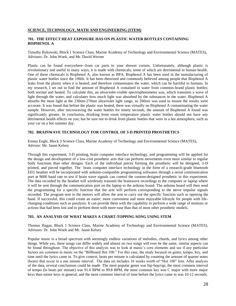#### **701. THE EFFECT HEAT EXPOSURE HAS ON PLASTIC WATER BOTTLES CONTAINING BISPHENOL A**

Timothy Bykowski, Block 1 Science Class, Marine Academy of Technology and Environmental Science (MATES), Advisors: Dr. John Wnek, and Mr. David Werner

Plastic can be found everywhere--from car parts to your shower curtain. Unfortunately, although plastic is revolutionary and useful in many ways, it is made with chemicals; some of which are detrimental to human health. One of these chemicals is Bisphenol A, also known as BPA. Bisphenol A has been used in the manufacturing of plastic water bottles since the 1960s. It has been theorized and commonly believed among people that Bisphenol A leaks from the plastic when it is heated, and therefore contaminates the water, which can be harmful to humans. In my research, I set out to find the amount of Bisphenol A contained in water from common-brand plastic bottles; both normal and heated. To calculate this, an ultraviolet-visible spectrophotometer was, which transmits a wave of light through the water, and calculates how much light was absorbed by the substances in the water. Bisphenol A absorbs the most light at the 230nm-270nm ultraviolet light range, so 260nm was used to ensure the results were accurate. It was found that before the plastic was heated, there was virtually no Bisphenol A contaminating the water sample. However, after microwaving the water bottles for ninety seconds, the amount of Bisphenol A found was significantly greater. In conclusion, drinking from room temperature plastic water bottles should not have any detrimental health effects on you; but be sure not to drink from plastic bottles that were in a hot atmosphere, such as your car on a hot summer day.

#### **702. BRAINWAVE TECHNOLOGY FOR CONTROL OF 3-D PRINTED PROSTHETICS**

Emma Engle, Block 3 Science Class, Marine Academy of Technology and Environmental Science (MATES), Advisor: Mr. Jason Kelsey

Through this experiment, 3-D printing, brain computer interface technology, and programming will be applied for the design and development of a low-cost prosthetic arm that can perform movements even more similar to regular body functions than other designs. Each of the individual pieces forming the prosthetic will be designed, 3-D printed, and pieced together. The brain computer interface technology in the form of a research-grade bluetooth EEG headset will be incorporated with arduino-compatible programming softwares through a serial communication port at 9600 baud rate to test if brain wave signals can control the custom-designed prosthetic in this experiment. The data recorded by the headset will wirelessly transmit the brainwave recordings to the computer or laptop where it will be sent through the communication port on the laptop to the arduino board. The arduino board will then send the programming for a specific function that the arm will perform corresponding to the nerve impulse signals recorded. The program sent to the motors will allow the arm to carry out the specific function such as opening the hand. If successful, this could create an easier, more convenient and more enjoyable lifestyle for people with lifechanging conditions such as paralysis. It can provide them with the capability to perform a wide range of motions or actions that had been lost and to perform them with more ease than that of most other prosthetic models.

#### **703. AN ANALYSIS OF WHAT MAKES A CHART-TOPPING SONG USING STEM**

Thomas Hagan, Block 1 Science Class, Marine Academy of Technology and Environmental Science (MATES), Advisors: Dr. John Wnek and Mr. Jason Kelsey

Popular music is a broad spectrum with seemingly endless variations of melodies, chords, and lyrics among other things. While yes, these songs can differ widely and almost no two songs will ever be the same, similar aspects can be found throughout. The objective of this analysis was to look at music's core elements and see if any particular factors are common in music on the "Billboard Hot 100." For this case, the study focused on genre, tempo, key, and time until the lyrics came in. To give context, beats per minute is calculated by counting the amount of quarter notes (beats) that occur in a one minute interval. The data set includes 16 weeks worth of "Hot 100" lists. After analysis of the data, several conclusions could be made. The most popular genre was hip-hop/rap, the most common interval of tempo (in beats per minute) was 91.6 BPM to 99.8 BPM, the most common key was C major with more major keys than minor keys in general, and the most common interval of time before the lyrics came in was 10-12 seconds.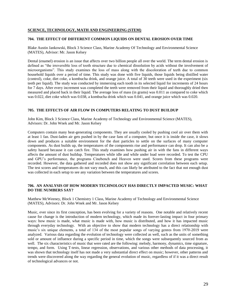#### **704. THE EFFECT OF DIFFERENT COMMON LIQUIDS ON DENTAL EROSION OVER TIME**

Blake Austin Jankowski, Block 3 Science Class, Marine Academy Of Technology and Environmental Science (MATES), Advisor: Mr. Jason Kelsey

Dental (enamel) erosion is an issue that affects over two billion people all over the world. The term dental erosion is defined as "the irreversible loss of tooth structure due to chemical dissolution by acids without the involvement of microorganisms". This study examines the loss of mass along with the discoloration of teeth due to common household liquids over a period of time. This study was done with five liquids, those liquids being distilled water (control), coke, diet coke, a kombucha drink, and orange juice. A total of 30 teeth were used in the experiment (six teeth per liquid). The study was conducted by immersing each tooth in its selected liquid for increments of 24 hours for 7 days. After every increment was completed the teeth were removed from their liquid and thoroughly dried then measured and placed back in their liquid. The average loss of mass (in grams) was 0.011 as compared to coke which was 0.022, diet coke which was 0.038, a kombucha drink which was 0.041, and orange juice which was 0.020.

#### **705. THE EFFECTS OF AIR FLOW IN COMPUTERS RELATING TO DUST BUILDUP**

John Kim, Block 3 Science Class, Marine Academy of Technology and Environmental Science (MATES), Advisors: Dr. John Wnek and Mr. Jason Kelsey

Computers contain many heat-generating components. They are usually cooled by pushing cool air over them with at least 1 fan. Dust-laden air gets pushed in by the case fans of a computer, but once it is inside the case, it slows down and produces a suitable environment for the dust particles to settle on the surfaces of many computer components. As dust builds up, the temperatures of the components rise and performance can drop. It can also be a safety hazard because it can catch fire. This study examines how pushing air in with the fans in different ways affects the amount of dust buildup. Temperatures while idle and while under load were recorded. To test the CPU and GPU's performance, the programs Cinebench and Heaven were used. Scores from these programs were recorded. However, the data gathered and recorded does not show any significant correlation between each setup. The test scores and temperatures do not vary much, and this can likely be attributed to the fact that not enough dust was collected in each setup to see any variation between the temperatures and scores.

#### **706. AN ANALYSIS OF HOW MODERN TECHNOLOGY HAS DIRECTLY IMPACTED MUSIC: WHAT DO THE NUMBERS SAY?**

Matthew McWeeney, Block 1 Chemistry 1 Class, Marine Academy of Technology and Environmental Science (MATES), Advisors: Dr. John Wnek and Mr. Jason Kelsey

Music, ever since its first conception, has been evolving for a variety of reasons. One notable and relatively recent cause for change is the introduction of modern technology, which made its forever-lasting impact in four primary ways: how music is made, what music is made with, how music is distributed, and how it has impacted music through everyday technology. With an objective to show that modern technology has a direct relationship with music's six unique elements, a total of 134 of the most popular songs of varying genres from 1970-2019 were analyzed. Various data regarding the evolution of technology were collected as well, such as the units of something sold or amount of influence during a specific period in time, which the songs were subsequently sourced from as well. The six characteristics of music that were rated are the following: melody, harmony, dynamics, time signature, tempo, and form. Using T-tests, linear regression, observations, and various other methods of data processing, it was shown that technology itself has not made a very substantial direct effect on music; however, other patterns and trends were discovered along the way regarding the general evolution of music, regardless of if it was a direct result of technological advances or not.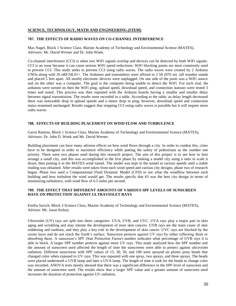#### **707. THE EFFECTS OF RADIO WAVES ON CO-CHANNEL INTERFERENCE**

Max Nagel, Block 1 Science Class, Marine Academy of Technology and Environmental Science (MATES), Advisors: Mr. David Werner and Dr. John Wnek.

Co-channel interference (CCI) is when two WiFi signals overlap and devices can be detected by both WiFi signals. CCI is an issue because it can cause serious WiFi speed reductions. WiFi blocking paints are most commonly used to prevent CCI. This study seeks to prevent CCI using radio waves. The radio waves were created by 2 Arduino UNOs along with 20 nRF24L01+. The Arduinos and transmitters were affixed to 2 5ft (076 m) tall wooden stands and placed 5 feet apart. All nearby electronic devices were unplugged. On one side of the posts was a WiFi source and on the other was a computer. The goal is the computer being unable to detect the WiFi. For each trial, the arduinos were turned on then the WiFi ping, upload speed, download speed, and connection statuses were tested 3 times and noted. This process was then repeated with the Arduino boards having a smaller and smaller delay between signal transmission. The results were recorded in a table. According to the table, as delay length decreased there was noticeable drop in upload speeds and a minor drop in ping; however, download speed and connection status remained unchanged. Results suggest that stopping CCI using radio waves is possible but it will require more radio waves.

#### **708. EFFECTS OF BUILDING PLACEMENT ON WIND FLOW AND TURBULENCE**

Gavin Ramins, Block 1 Science Class, Marine Academy of Technology and Environmental Science (MATES), Advisors: Dr. John D. Wnek and Mr. David Werner.

Building placement can have many adverse effects on how wind flows through a city. In order to combat this, cities have to be designed in order to maximize efficiency while putting the safety of pedestrians as the number one priority. There were two phases used during this research project. The aim of this project is to see how to best arrange a small city, and this was accomplished in the first phase by making a model city using a ratio to scale it down, then putting it in the MATES wind tunnel. The model was kept in the tunnel at various speeds until a stable reading was obtained. After results were taken from each wind speed and various city designs, phase two of research began. Phase two used a Computational Fluid Dynamic Model (CFD) to see what the windflow between each building and how turbulent the wind would get. The results specify that #3 was the best city design in terms of minimizing turbulence, with wind flow of 6.5 miles per second.

#### **709. THE EFFECT THAT DIFFERENT AMOUNTS OF VARIOUS SPF LEVELS OF SUNSCREEN HAVE ON PROTECTION AGAINST ULTRAVIOLET RAYS**

Emilia Savich, Block 3 Science Class, Marine Academy of Technology and Environmental Science (MATES), Advisor: Mr. Jason Kelsey

Ultraviolet (UV) rays are split into three categories: UVA, UVB, and UVC. UVA rays play a major part in skin aging and wrinkling and may initiate the development of most skin cancers. UVB rays are the main cause of skin reddening and sunburn, and they play a key role in the development of skin cancer. UVC rays are blocked by the ozone layer and do not reach the Earth's surface. Sunscreen protects against UV rays by either reflecting them or absorbing them. A sunscreen's SPF (Sun Protection Factor) number indicates what percentage of UVB rays it is able to block. A larger SPF number protects against more UV rays. This study analyzed how the SPF number and the amount of sunscreen used affected the length of time the sunscreens were able to protect against ultraviolet radiation. Different sunscreens with SPF values of 15, 30, 50, and 100 were sprayed on plastic pony beads that changed color when exposed to UV rays. This was repeated with one spray, two sprays, and three sprays. The beads were placed underneath a UVB lamp and later a UVA lamp. The length of time it took for the beads to change color was recorded. ANOVA tests mostly showed that there was a significant difference in the SPF level of sunscreen and the amount of sunscreen used. The results show that a larger SPF value and a greater amount of sunscreen used increases the duration of protection against UV radiation.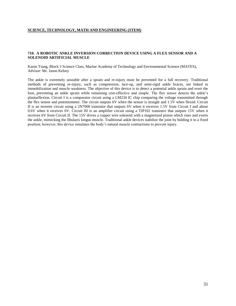#### **710. A ROBOTIC ANKLE INVERSION CORRECTION DEVICE USING A FLEX SENSOR AND A SOLENOID ARTIFICIAL MUSCLE**

Karen Tsang, Block 3 Science Class, Marine Academy of Technology and Environmental Science (MATES), Advisor: Mr. Jason Kelsey

The ankle is extremely unstable after a sprain and re-injury must be prevented for a full recovery. Traditional methods of preventing re-injury, such as compression, lace-up, and semi-rigid ankle braces, are linked to immobilization and muscle weakness. The objective of this device is to detect a potential ankle sprain and evert the foot, preventing an ankle sprain while remaining cost-effective and simple. The flex sensor detects the ankle's plantarflexion. Circuit I is a comparator circuit using a LM234 IC chip comparing the voltage transmitted through the flex sensor and potentiometer. The circuit outputs 6V when the sensor is straight and 1.5V when flexed. Circuit II is an inverter circuit using a 2N7000 transistor that outputs 6V when it receives 1.5V from Circuit I and about 0.6V when it receives 6V. Circuit III is an amplifier circuit using a TIP102 transistor that outputs 15V when it receives 6V from Circuit II. The 15V drives a copper wire solenoid with a magnetized piston which rises and everts the ankle, mimicking the fibularis longus muscle. Traditional ankle devices stabilize the joint by holding it in a fixed position; however, this device simulates the body's natural muscle contractions to prevent injury.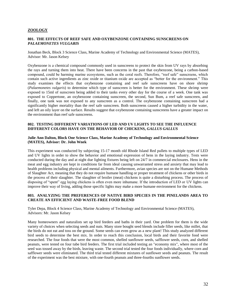#### **ZOOLOGY**

#### **801. THE EFFECTS OF REEF SAFE AND OXYBENZONE CONTAINING SUNSCREENS ON**  *PALAEMONETES VULGARIS*

Jonathan Beck, Block 3 Science Class, Marine Academy of Technology and Environmental Science (MATES), Advisor: Mr. Jason Kelsey

Oxybenzone is a chemical compound commonly used in sunscreens to protect the skin from UV rays by absorbing the rays and turning them into heat. There have been concerns in the past that oxybenzone, being a carbon-based compound, could be harming marine ecosystems, such as the coral reefs. Therefore, "reef safe" sunscreens, which contain such active ingredients as zinc oxide or titanium oxide are accepted as "better for the environment." This study examines the effects that oxybenzone containing and reef safe sunscreens have on shore shrimp (*Palaemonetes vulgaris*) to determine which type of sunscreen is better for the environment. These shrimp were exposed to 15ml of sunscreen being added to their tanks every other day for the course of a week. One tank was exposed to Coppertone, an oxybenzone containing sunscreen, the second, Sun Bum, a reef safe sunscreen, and finally, one tank was not exposed to any sunscreen as a control. The oxybenzone containing sunscreen had a significantly higher mortality than the reef safe sunscreen. Both sunscreens caused a higher turbidity in the water, and left an oily layer on the surface. Results suggest that oxybenzone containing sunscreens have a greater impact on the environment than reef safe sunscreens.

#### **802. TESTING DIFFERENT VARIATIONS OF LED AND UV LIGHTS TO SEE THE INFLUENCE DIFFERENT COLORS HAVE ON THE BEHAVIOR OF CHICKENS,** *GALLUS GALLUS*

#### **Julie Ann Dalton, Block One Science Class, Marine Academy of Technology and Environmental Science (MATES), Advisor: Dr. John Wnek**

This experiment was conducted by subjecting 15-17 month old Rhode Island Red pullets to multiple types of LED and UV lights in order to show the behavior and emotional expression of hens in the laying industry. Tests were conducted during the day and at night due lighting fixtures being left on 24/7 in commercial enclosures. Hens in the meat and egg industry are kept in conditions far from ideal causing unwarranted stress and anxiety that may lead to health problems including physical and mental ailments. Furthermore, avian species are not on the Humane Methods of Slaughter Act, meaning that they do not require humane handling or proper treatment of chickens or other birds in the process of their slaughter. The slaughter of broiler (meat) chickens is quite a disturbing process. The process of disposing of "spent" egg laying chickens is often even more inhumane. If the introduction of LED or UV lights can improve their way of living, adding those specific lights may make a more humane environment for the chickens.

#### **803. ANALYZING THE PREFERENCES OF NATIVE BIRD SPECIES IN THE PINELANDS AREA TO CREATE AN EFFICIENT AND WASTE-FREE FOOD BLEND**

Tyler Depa, Block 4 Science Class, Marine Academy of Technology and Environmental Science (MATES), Advisors: Mr. Jason Kelsey

Many homeowners and naturalists set up bird feeders and baths in their yard. One problem for them is the wide variety of choices when selecting seeds and nuts. Many store bought seed blends include filler seeds, like millet, that the birds do not eat and toss on the ground. Some seeds can even grow as a new plant! This study analyzed different bird seeds to determine the best mix. In order to reach this conclusion, local birds and their favorite food were researched. The four foods that were the most common, shelled sunflower seeds, safflower seeds, corn, and shelled peanuts, were tested on four tube bird feeders. The first trial included testing an "economy mix", where most of the seed was tossed away by the birds, leaving waste. The second trial tested the four foods individually, where corn and safflower seeds were eliminated. The third trial tested different mixtures of sunflower seeds and peanuts. The result of the experiment was the best mixture, with one-fourth peanuts and three-fourths sunflower seeds.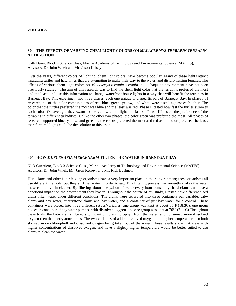#### **ZOOLOGY**

#### **804. THE EFFECTS OF VARYING CHEM LIGHT COLORS ON** *MALACLEMYS TERRAPIN TERRAPIN* **ATTRACTION**

Calli Dunn, Block 4 Science Class, Marine Academy of Technology and Environmental Science (MATES), Advisors: Dr. John Wnek and Mr. Jason Kelsey

Over the years, different colors of lighting, chem light colors, have become popular. Many of these lights attract migrating turtles and hatchlings that are attempting to make their way to the water, and disturb nesting females. The effects of various chem light colors on *Malaclemys terrapin terrapin* in a subaquatic environment have not been previously studied. The aim of this research was to find the chem light color that the terrapins preferred the most and the least, and use this information to change waterfront house lights in a way that will benefit the terrapins in Barnegat Bay. This experiment had three phases, each one unique to a specific part of Barnegat Bay. In phase I of research, all of the color combinations of red, blue, green, yellow, and white were tested against each other. The color that the turtles preferred the most was blue and the least was red. Phase II tested how fast the turtles swam to each color. On average, they swam to the yellow chem light the fastest. Phase III tested the preference of the terrapins in different turbidities. Unlike the other two phases, the color green was preferred the most. All phases of research supported blue, yellow, and green as the colors preferred the most and red as the color preferred the least, therefore, red lights could be the solution to this issue.

#### **805. HOW** *MERCENARIA MERCENARIA* **FILTER THE WATER IN BARNEGAT BAY**

Nick Guerriero, Block 3 Science Class, Marine Academy of Technology and Environmental Science (MATES), Advisors: Dr. John Wnek, Mr. Jason Kelsey, and Mr. Rick Bushnell

Hard clams and other filter feeding organisms have a very important place in their environment; these organisms all use different methods, but they all filter water in order to eat. This filtering process inadvertently makes the water these clams live in cleaner. By filtering about one gallon of water every hour constantly, hard clams can have a beneficial impact on the environment they live in. Throughout the course of my study, I tested how different sized clams filter water under different conditions. The clams were separated into three containers per variable, baby clams and bay water, cherrystone clams and bay water, and a container of just bay water for a control. These containers were placed into three different setups/variables, one group was kept at about 65°F (18.3C), one group had each container of bay water pumped with dissolved oxygen, and one group was kept at 70°F (21.1C) Throughout these trials, the baby clams filtered significantly more chlorophyll from the water, and consumed more dissolved oxygen then the cherrystone clams. The two variables of added dissolved oxygen, and higher temperature also both showed more chlorophyll and dissolved oxygen being taken out of the water. These results show that areas with higher concentrations of dissolved oxygen, and have a slightly higher temperature would be better suited to use clams to clean the water.